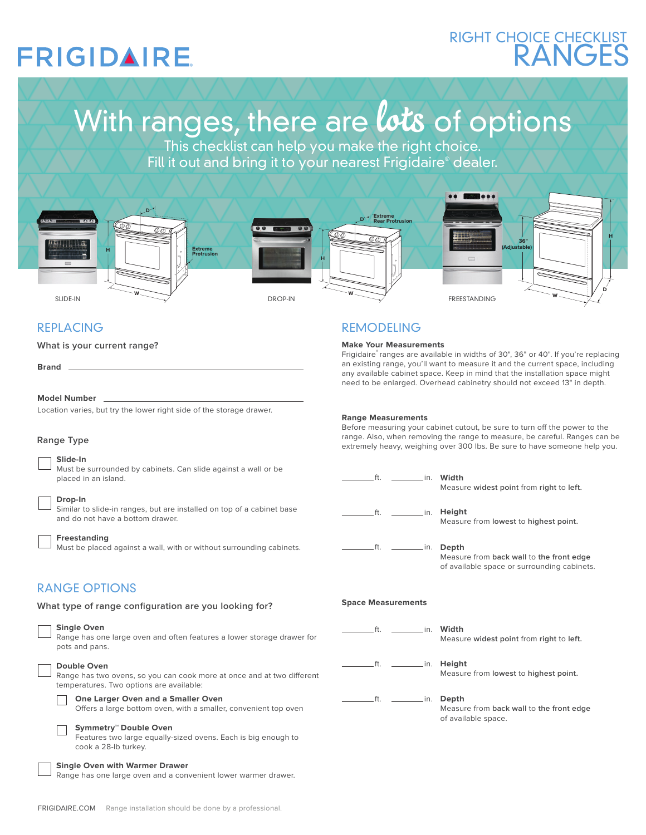## **FRIGIDAIRE**

## RANGES RIGHT CHOICE CHECKLIST

# With ranges, there are lots of options

This checklist can help you make the right choice. Fill it out and bring it to your nearest Frigidaire® dealer.



### REPLACING

**What is your current range?**

**Brand**

#### **Model Number**

Location varies, but try the lower right side of the storage drawer.

#### **Slide-In**

Must be surrounded by cabinets. Can slide against a wall or be placed in an island.

#### **Drop-In**

Similar to slide-in ranges, but are installed on top of a cabinet base and do not have a bottom drawer.

#### **Freestanding**

Must be placed against a wall, with or without surrounding cabinets.

### RANGE OPTIONS

**What type of range configuration are you looking for?** 



## **Range Measurements**

REMODELING **Make Your Measurements**

Before measuring your cabinet cutout, be sure to turn off the power to the range. Also, when removing the range to measure, be careful. Ranges can be kange Type and the same to measure, be careful. Ranges can be a sure to the sure to have someone help you. Also<br>extremely heavy, weighing over 300 lbs. Be sure to have someone help you.

Frigidaire® ranges are available in widths of 30", 36" or 40". If you're replacing an existing range, you'll want to measure it and the current space, including any available cabinet space. Keep in mind that the installation space might need to be enlarged. Overhead cabinetry should not exceed 13" in depth.

|                           | ft.         |                          | Measure widest point from right to left.                                                |
|---------------------------|-------------|--------------------------|-----------------------------------------------------------------------------------------|
|                           |             |                          | Height<br>Measure from lowest to highest point.                                         |
|                           | $f_{\rm L}$ | in. Depth                | Measure from back wall to the front edge<br>of available space or surrounding cabinets. |
| <b>Space Measurements</b> |             |                          |                                                                                         |
|                           | ft.         | in. Width                | Measure widest point from right to left.                                                |
|                           | .ft.        | in. Height               | Measure from lowest to highest point.                                                   |
|                           |             | ft. ___________in. Depth | Measure from back wall to the front edge<br>of available space.                         |